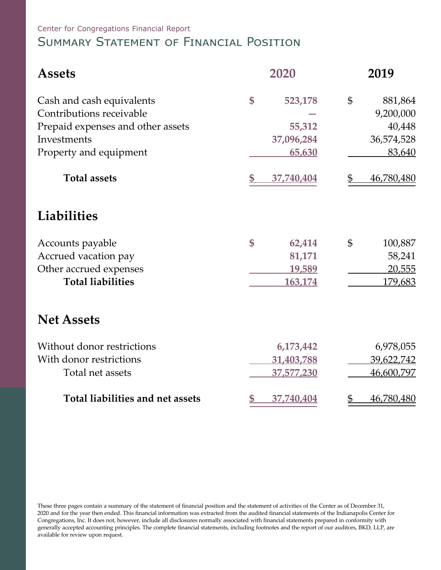Center for Congregations Financial Report

# Summary Statement of Financial Position

| <b>Assets</b>                     | 2020                         | 2019                         |  |  |
|-----------------------------------|------------------------------|------------------------------|--|--|
| Cash and cash equivalents         | \$<br>523,178                | $\mathfrak{S}$<br>881,864    |  |  |
| Contributions receivable          |                              | 9,200,000                    |  |  |
| Prepaid expenses and other assets | 55,312                       | 40,448                       |  |  |
| Investments                       | 37,096,284                   | 36,574,528                   |  |  |
| Property and equipment            | 65,630                       | 83,640                       |  |  |
| <b>Total assets</b>               | \$<br>37,740,404             | 46,780,480<br>\$             |  |  |
| <b>Liabilities</b>                |                              |                              |  |  |
| Accounts payable                  | \$<br>62,414                 | \$<br>100,887                |  |  |
| Accrued vacation pay              | 81,171                       | 58,241                       |  |  |
| Other accrued expenses            | 19,589                       | 20,555                       |  |  |
| <b>Total liabilities</b>          | 163,174                      | 179,683                      |  |  |
| <b>Net Assets</b>                 |                              |                              |  |  |
| Without donor restrictions        | 6,173,442                    | 6,978,055                    |  |  |
| With donor restrictions           | 31,403,788                   | 39,622,742                   |  |  |
| Total net assets                  | 37,577,230                   | 46,600,797                   |  |  |
| Total liabilities and net assets  | $\mathbf{\$\}$<br>37,740,404 | $\mathfrak{D}$<br>46,780,480 |  |  |

These three pages contain a summary of the statement of financial position and the statement of activities of the Center as of December 31, 2020 and for the year then ended. This financial information was extracted from the audited financial statements of the Indianapolis Center for Congregations, Inc. It does not, however, include all disclosures normally associated with financial statements prepared in conformity with generally accepted accounting principles. The complete financial statements, including footnotes and the report of our auditors, BKD, LLP, are available for review upon request.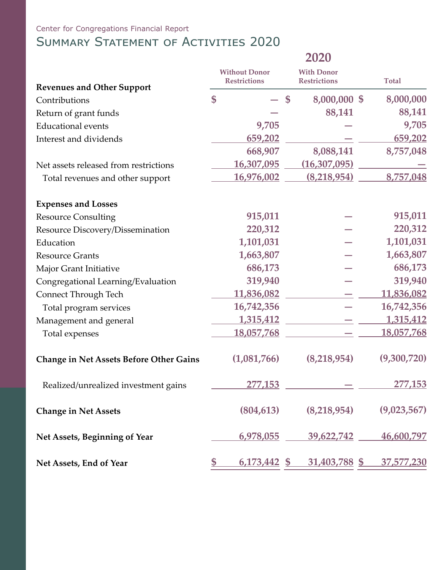### Center for Congregations Financial Report

## SUMMARY STATEMENT OF ACTIVITIES 2020

|                                                | 2020         |                                             |                                          |                      |              |                   |
|------------------------------------------------|--------------|---------------------------------------------|------------------------------------------|----------------------|--------------|-------------------|
|                                                |              | <b>Without Donor</b><br><b>Restrictions</b> | <b>With Donor</b><br><b>Restrictions</b> |                      | <b>Total</b> |                   |
| <b>Revenues and Other Support</b>              |              |                                             |                                          |                      |              |                   |
| Contributions                                  | \$           |                                             | \$                                       | 8,000,000 \$         |              | 8,000,000         |
| Return of grant funds                          |              |                                             |                                          | 88,141               |              | 88,141            |
| <b>Educational events</b>                      |              | 9,705                                       |                                          |                      |              | 9,705             |
| Interest and dividends                         |              | 659,202                                     |                                          |                      |              | 659,202           |
|                                                |              | 668,907                                     |                                          | 8,088,141            |              | 8,757,048         |
| Net assets released from restrictions          |              | 16,307,095                                  |                                          | (16, 307, 095)       |              |                   |
| Total revenues and other support               |              | 16,976,002                                  |                                          | (8,218,954)          |              | 8,757,048         |
| <b>Expenses and Losses</b>                     |              |                                             |                                          |                      |              |                   |
| <b>Resource Consulting</b>                     |              | 915,011                                     |                                          |                      |              | 915,011           |
| Resource Discovery/Dissemination               |              | 220,312                                     |                                          |                      |              | 220,312           |
| Education                                      |              | 1,101,031                                   |                                          |                      |              | 1,101,031         |
| <b>Resource Grants</b>                         |              | 1,663,807                                   |                                          |                      |              | 1,663,807         |
| Major Grant Initiative                         |              | 686,173                                     |                                          |                      |              | 686,173           |
| Congregational Learning/Evaluation             |              | 319,940                                     |                                          |                      |              | 319,940           |
| Connect Through Tech                           |              | 11,836,082                                  |                                          |                      |              | 11,836,082        |
| Total program services                         |              | 16,742,356                                  |                                          |                      |              | 16,742,356        |
| Management and general                         |              | <u>1,315,412</u>                            |                                          |                      |              | <u>1,315,412</u>  |
| Total expenses                                 |              | 18,057,768                                  |                                          |                      |              | 18,057,768        |
| <b>Change in Net Assets Before Other Gains</b> |              | (1,081,766)                                 |                                          | (8,218,954)          |              | (9,300,720)       |
| Realized/unrealized investment gains           |              | 277,153                                     |                                          |                      |              | 277,153           |
| <b>Change in Net Assets</b>                    |              | (804, 613)                                  |                                          | (8,218,954)          |              | (9,023,567)       |
| Net Assets, Beginning of Year                  |              | 6,978,055                                   |                                          | 39,622,742           |              | 46,600,797        |
| Net Assets, End of Year                        | $\mathbb{S}$ | <u>6,173,442 \$</u>                         |                                          | <u>31,403,788 \$</u> |              | <u>37,577,230</u> |